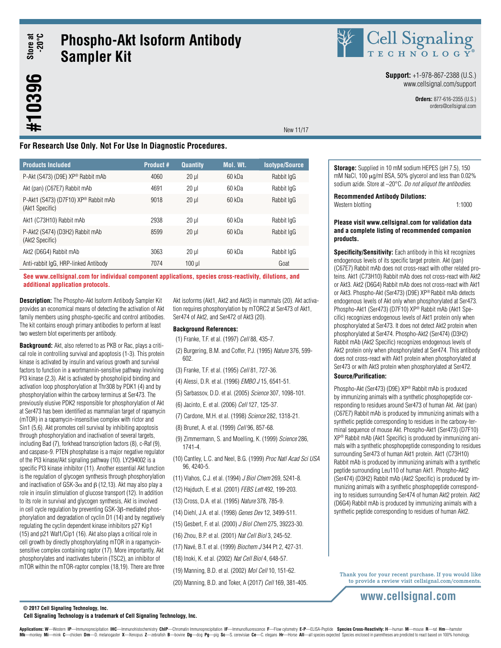**Store at -20°C**

# **Phospho-Akt Isoform Antibody Sampler Kit**



Cell Signaling **Support:** +1-978-867-2388 (U.S.)

www.cellsignal.com/support

**Orders:** 877-616-2355 (U.S.) orders@cellsignal.com

## **For Research Use Only. Not For Use In Diagnostic Procedures.**

| <b>Products Included</b>                                | <b>Product #</b> | <b>Quantity</b> | <b>Mol. Wt.</b> | <b>Isotype/Source</b> |
|---------------------------------------------------------|------------------|-----------------|-----------------|-----------------------|
| P-Akt (S473) (D9E) XP® Rabbit mAb                       | 4060             | $20 \mu$        | 60 kDa          | Rabbit IgG            |
| Akt (pan) (C67E7) Rabbit mAb                            | 4691             | $20 \mu$        | 60 kDa          | Rabbit IgG            |
| P-Akt1 (S473) (D7F10) XP® Rabbit mAb<br>(Akt1 Specific) | 9018             | $20$ $\mu$      | 60 kDa          | Rabbit IgG            |
| Akt1 (C73H10) Rabbit mAb                                | 2938             | $20$ $\mu$      | 60 kDa          | Rabbit IgG            |
| P-Akt2 (S474) (D3H2) Rabbit mAb<br>(Akt2 Specific)      | 8599             | $20$ $\mu$      | 60 kDa          | Rabbit IgG            |
| Akt2 (D6G4) Rabbit mAb                                  | 3063             | $20 \mu$        | 60 kDa          | Rabbit IgG            |
| Anti-rabbit IgG, HRP-linked Antibody                    | 7074             | $100$ $\mu$     |                 | Goat                  |

**See www.cellsignal.com for individual component applications, species cross-reactivity, dilutions, and additional application protocols.**

**Description:** The Phospho-Akt Isoform Antibody Sampler Kit provides an economical means of detecting the activation of Akt family members using phospho-specific and control antibodies. The kit contains enough primary antibodies to perform at least two western blot experiments per antibody.

**Background:** Akt, also referred to as PKB or Rac, plays a critical role in controlling survival and apoptosis (1-3). This protein kinase is activated by insulin and various growth and survival factors to function in a wortmannin-sensitive pathway involving PI3 kinase (2,3). Akt is activated by phospholipid binding and activation loop phosphorylation at Thr308 by PDK1 (4) and by phosphorylation within the carboxy terminus at Ser473. The previously elusive PDK2 responsible for phosphorylation of Akt at Ser473 has been identified as mammalian target of rapamycin (mTOR) in a rapamycin-insensitive complex with rictor and Sin1 (5,6). Akt promotes cell survival by inhibiting apoptosis through phosphorylation and inactivation of several targets, including Bad (7), forkhead transcription factors (8), c-Raf (9), and caspase-9. PTEN phosphatase is a major negative regulator of the PI3 kinase/Akt signaling pathway (10). LY294002 is a specific PI3 kinase inhibitor (11). Another essential Akt function is the regulation of glycogen synthesis through phosphorylation and inactivation of GSK-3 $\alpha$  and β (12,13). Akt may also play a role in insulin stimulation of glucose transport (12). In addition to its role in survival and glycogen synthesis, Akt is involved in cell cycle regulation by preventing GSK-3β-mediated phosphorylation and degradation of cyclin D1 (14) and by negatively regulating the cyclin dependent kinase inhibitors p27 Kip1 (15) and p21 Waf1/Cip1 (16). Akt also plays a critical role in cell growth by directly phosphorylating mTOR in a rapamycinsensitive complex containing raptor (17). More importantly, Akt phosphorylates and inactivates tuberin (TSC2), an inhibitor of mTOR within the mTOR-raptor complex (18,19). There are three

Akt isoforms (Akt1, Akt2 and Akt3) in mammals (20). Akt activation requires phosphorylation by mTORC2 at Ser473 of Akt1, Ser474 of Akt2, and Ser472 of Akt3 (20).

New 11/17

### **Background References:**

- (1) Franke, T.F. et al. (1997) *Cell* 88, 435-7.
- (2) Burgering, B.M. and Coffer, P.J. (1995) *Nature* 376, 599- 602.
- (3) Franke, T.F. et al. (1995) *Cell* 81, 727-36.
- (4) Alessi, D.R. et al. (1996) *EMBO J* 15, 6541-51.
- (5) Sarbassov, D.D. et al. (2005) *Science* 307, 1098-101.
- (6) Jacinto, E. et al. (2006) *Cell* 127, 125-37.
- (7) Cardone, M.H. et al. (1998) *Science* 282, 1318-21.
- (8) Brunet, A. et al. (1999) *Cell* 96, 857-68.
- (9) Zimmermann, S. and Moelling, K. (1999) *Science* 286, 1741-4.
- (10) Cantley, L.C. and Neel, B.G. (1999) *Proc Natl Acad Sci USA* 96, 4240-5.
- (11) Vlahos, C.J. et al. (1994) *J Biol Chem* 269, 5241-8.
- (12) Hajduch, E. et al. (2001) *FEBS Lett* 492, 199-203.
- (13) Cross, D.A. et al. (1995) *Nature* 378, 785-9.
- (14) Diehl, J.A. et al. (1998) *Genes Dev* 12, 3499-511.
- (15) Gesbert, F. et al. (2000) *J Biol Chem* 275, 39223-30.
- (16) Zhou, B.P. et al. (2001) *Nat Cell Biol* 3, 245-52.
- (17) Navé, B.T. et al. (1999) *Biochem J* 344 Pt 2, 427-31.
- (18) Inoki, K. et al. (2002) *Nat Cell Biol* 4, 648-57.
- (19) Manning, B.D. et al. (2002) *Mol Cell* 10, 151-62.
- (20) Manning, B.D. and Toker, A (2017) *Cell* 169, 381-405.

**Storage:** Supplied in 10 mM sodium HEPES (pH 7.5), 150 mM NaCl, 100 µg/ml BSA, 50% glycerol and less than 0.02% sodium azide. Store at –20°C. *Do not aliquot the antibodies*.

**Recommended Antibody Dilutions:**

Western blotting 1:1000

### **Please visit www.cellsignal.com for validation data and a complete listing of recommended companion products.**

**Specificity/Sensitivity:** Each antibody in this kit recognizes endogenous levels of its specific target protein. Akt (pan) (C67E7) Rabbit mAb does not cross-react with other related proteins. Akt1 (C73H10) Rabbit mAb does not cross-react with Akt2 or Akt3. Akt2 (D6G4) Rabbit mAb does not cross-react with Akt1 or Akt3. Phospho-Akt (Ser473) (D9E) XP® Rabbit mAb detects endogenous levels of Akt only when phosphorylated at Ser473. Phospho-Akt1 (Ser473) (D7F10) XP® Rabbit mAb (Akt1 Specific) recognizes endogenous levels of Akt1 protein only when phosphorylated at Ser473. It does not detect Akt2 protein when phosphorylated at Ser474. Phospho-Akt2 (Ser474) (D3H2) Rabbit mAb (Akt2 Specific) recognizes endogenous levels of Akt2 protein only when phosphorylated at Ser474. This antibody does not cross-react with Akt1 protein when phosphorylated at Ser473 or with Akt3 protein when phosphorylated at Ser472.

### **Source/Purification:**

Phospho-Akt (Ser473) (D9E) XP® Rabbit mAb is produced by immunizing animals with a synthetic phosphopeptide corresponding to residues around Ser473 of human Akt. Akt (pan) (C67E7) Rabbit mAb is produced by immunizing animals with a synthetic peptide corresponding to residues in the carboxy-terminal sequence of mouse Akt. Phospho-Akt1 (Ser473) (D7F10) XP® Rabbit mAb (Akt1 Specific) is produced by immunizing animals with a synthetic phosphopeptide corresponding to residues surrounding Ser473 of human Akt1 protein. Akt1 (C73H10) Rabbit mAb is produced by immunizing animals with a synthetic peptide surrounding Leu110 of human Akt1. Phospho-Akt2 (Ser474) (D3H2) Rabbit mAb (Akt2 Specific) is produced by immunizing animals with a synthetic phosphopeptide corresponding to residues surrounding Ser474 of human Akt2 protein. Akt2 (D6G4) Rabbit mAb is produced by immunizing animals with a synthetic peptide corresponding to residues of human Akt2.

Thank you for your recent purchase. If you would like to provide a review visit cellsignal.com/comments.

### **www.cellsignal.com**

**© 2017 Cell Signaling Technology, Inc.**

### **Cell Signaling Technology is a trademark of Cell Signaling Technology, Inc.**

Applications: W-Western IP-Immunoprecipitation IHC-Immunohistochemistry ChIP-Chromatin Immunoprecipitation IF-Immunofluorescence F-Flow cytometry E-P-ELISA-Peptide Species Cross-Reactivity: H-human M-mouse R-rat Hm-hamster Mk-monkey Mi-mink C-chicken Dm-D. melanogaster X-Xenopus Z-zebrafish B-bovine Dg-dog Pg-pig Sc-S. cerevisiae Ce-C. elegans Hr-Horse All-all species expected Species enclosed in parentheses are predicted to react based on 1